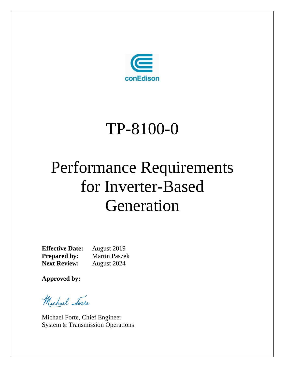

# TP-8100-0

# Performance Requirements for Inverter-Based Generation

**Effective Date:** August 2019 **Prepared by:** Martin Paszek **Next Review:** August 2024

**Approved by:**

Michael Forte

Michael Forte, Chief Engineer System & Transmission Operations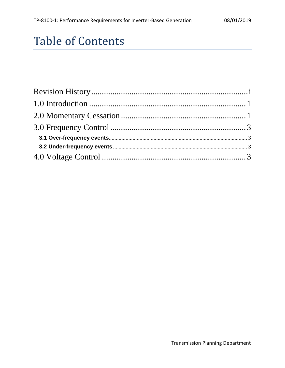# Table of Contents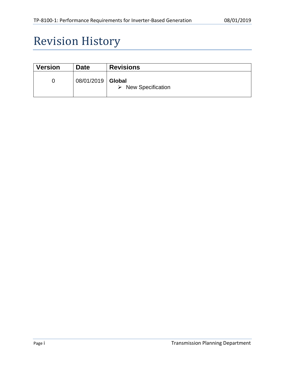# <span id="page-2-0"></span>Revision History

| <b>Version</b> | <b>Date</b>         | <b>Revisions</b>                   |
|----------------|---------------------|------------------------------------|
| 0              | 08/01/2019   Global | $\triangleright$ New Specification |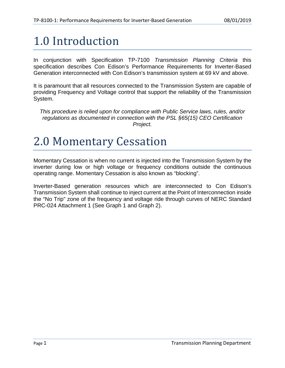# <span id="page-3-0"></span>1.0 Introduction

In conjunction with Specification TP-7100 *Transmission Planning Criteria* this specification describes Con Edison's Performance Requirements for Inverter-Based Generation interconnected with Con Edison's transmission system at 69 kV and above.

It is paramount that all resources connected to the Transmission System are capable of providing Frequency and Voltage control that support the reliability of the Transmission System.

*This procedure is relied upon for compliance with Public Service laws, rules, and/or regulations as documented in connection with the PSL §65(15) CEO Certification Project.*

### <span id="page-3-1"></span>2.0 Momentary Cessation

Momentary Cessation is when no current is injected into the Transmission System by the inverter during low or high voltage or frequency conditions outside the continuous operating range. Momentary Cessation is also known as "blocking".

Inverter-Based generation resources which are interconnected to Con Edison's Transmission System shall continue to inject current at the Point of Interconnection inside the "No Trip" zone of the frequency and voltage ride through curves of NERC Standard PRC-024 Attachment 1 (See Graph 1 and Graph 2).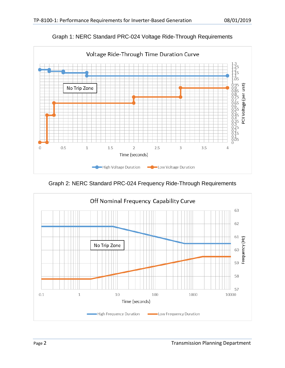

Graph 1: NERC Standard PRC-024 Voltage Ride-Through Requirements

Graph 2: NERC Standard PRC-024 Frequency Ride-Through Requirements